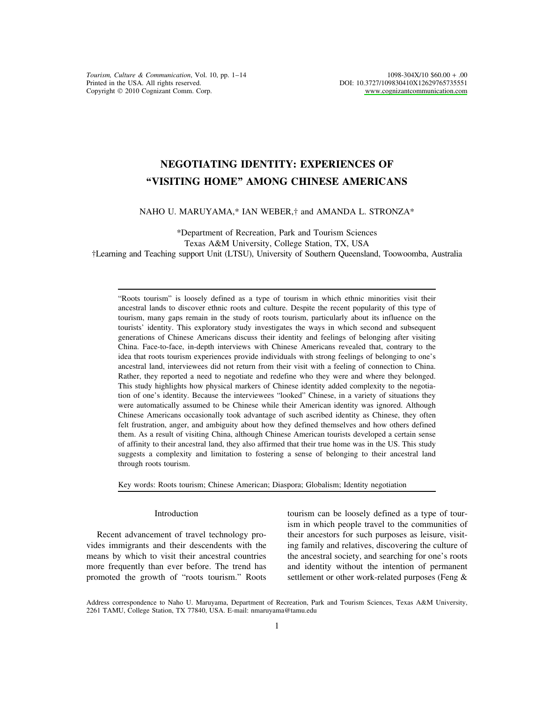# **NEGOTIATING IDENTITY: EXPERIENCES OF** "VISITING HOME" AMONG CHINESE AMERICANS

NAHO U. MARUYAMA,\* IAN WEBER,† and AMANDA L. STRONZA\*

\*Department of Recreation, Park and Tourism Sciences

Texas A&M University, College Station, TX, USA

†Learning and Teaching support Unit (LTSU), University of Southern Queensland, Toowoomba, Australia

"Roots tourism" is loosely defined as a type of tourism in which ethnic minorities visit their ancestral lands to discover ethnic roots and culture. Despite the recent popularity of this type of tourism, many gaps remain in the study of roots tourism, particularly about its influence on the tourists' identity. This exploratory study investigates the ways in which second and subsequent generations of Chinese Americans discuss their identity and feelings of belonging after visiting China. Face-to-face, in-depth interviews with Chinese Americans revealed that, contrary to the idea that roots tourism experiences provide individuals with strong feelings of belonging to one's ancestral land, interviewees did not return from their visit with a feeling of connection to China. Rather, they reported a need to negotiate and redefine who they were and where they belonged. This study highlights how physical markers of Chinese identity added complexity to the negotiation of one's identity. Because the interviewees "looked" Chinese, in a variety of situations they were automatically assumed to be Chinese while their American identity was ignored. Although Chinese Americans occasionally took advantage of such ascribed identity as Chinese, they often felt frustration, anger, and ambiguity about how they defined themselves and how others defined them. As a result of visiting China, although Chinese American tourists developed a certain sense of affinity to their ancestral land, they also affirmed that their true home was in the US. This study suggests a complexity and limitation to fostering a sense of belonging to their ancestral land through roots tourism.

Key words: Roots tourism; Chinese American; Diaspora; Globalism; Identity negotiation

# Introduction

Recent advancement of travel technology provides immigrants and their descendents with the means by which to visit their ancestral countries more frequently than ever before. The trend has promoted the growth of "roots tourism." Roots tourism can be loosely defined as a type of tourism in which people travel to the communities of their ancestors for such purposes as leisure, visiting family and relatives, discovering the culture of the ancestral society, and searching for one's roots and identity without the intention of permanent settlement or other work-related purposes (Feng &

Address correspondence to Naho U. Maruyama, Department of Recreation, Park and Tourism Sciences, Texas A&M University, 2261 TAMU, College Station, TX 77840, USA. E-mail: nmaruyama@tamu.edu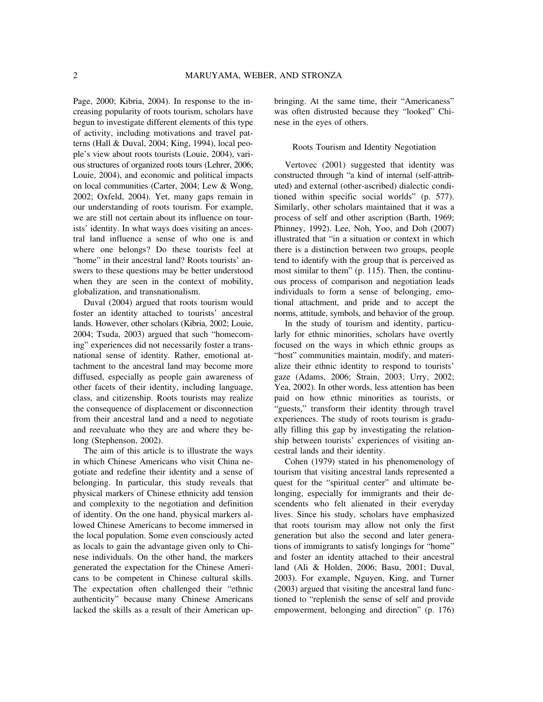Page, 2000; Kibria, 2004). In response to the increasing popularity of roots tourism, scholars have begun to investigate different elements of this type of activity, including motivations and travel patterns (Hall & Duval, 2004; King, 1994), local people's view about roots tourists (Louie, 2004), various structures of organized roots tours (Lehrer, 2006; Louie, 2004), and economic and political impacts on local communities (Carter, 2004; Lew & Wong, 2002; Oxfeld, 2004). Yet, many gaps remain in our understanding of roots tourism. For example, we are still not certain about its influence on tourists' identity. In what ways does visiting an ancestral land influence a sense of who one is and where one belongs? Do these tourists feel at "home" in their ancestral land? Roots tourists' answers to these questions may be better understood when they are seen in the context of mobility, globalization, and transnationalism.

Duval (2004) argued that roots tourism would foster an identity attached to tourists' ancestral lands. However, other scholars (Kibria, 2002; Louie, 2004; Tsuda, 2003) argued that such "homecoming" experiences did not necessarily foster a transnational sense of identity. Rather, emotional attachment to the ancestral land may become more diffused, especially as people gain awareness of other facets of their identity, including language, class, and citizenship. Roots tourists may realize the consequence of displacement or disconnection from their ancestral land and a need to negotiate and reevaluate who they are and where they belong (Stephenson, 2002).

The aim of this article is to illustrate the ways in which Chinese Americans who visit China negotiate and redefine their identity and a sense of belonging. In particular, this study reveals that physical markers of Chinese ethnicity add tension and complexity to the negotiation and definition of identity. On the one hand, physical markers allowed Chinese Americans to become immersed in the local population. Some even consciously acted as locals to gain the advantage given only to Chinese individuals. On the other hand, the markers generated the expectation for the Chinese Americans to be competent in Chinese cultural skills. The expectation often challenged their "ethnic authenticity" because many Chinese Americans lacked the skills as a result of their American upbringing. At the same time, their "Americaness" was often distrusted because they "looked" Chinese in the eyes of others.

#### Roots Tourism and Identity Negotiation

Vertovec (2001) suggested that identity was constructed through "a kind of internal (self-attributed) and external (other-ascribed) dialectic conditioned within specific social worlds" (p. 577). Similarly, other scholars maintained that it was a process of self and other ascription (Barth, 1969; Phinney, 1992). Lee, Noh, Yoo, and Doh (2007) illustrated that "in a situation or context in which there is a distinction between two groups, people tend to identify with the group that is perceived as most similar to them" (p. 115). Then, the continuous process of comparison and negotiation leads individuals to form a sense of belonging, emotional attachment, and pride and to accept the norms, attitude, symbols, and behavior of the group.

In the study of tourism and identity, particularly for ethnic minorities, scholars have overtly focused on the ways in which ethnic groups as "host" communities maintain, modify, and materialize their ethnic identity to respond to tourists' gaze (Adams, 2006; Strain, 2003; Urry, 2002; Yea, 2002). In other words, less attention has been paid on how ethnic minorities as tourists, or "guests," transform their identity through travel experiences. The study of roots tourism is gradually filling this gap by investigating the relationship between tourists' experiences of visiting ancestral lands and their identity.

Cohen (1979) stated in his phenomenology of tourism that visiting ancestral lands represented a quest for the "spiritual center" and ultimate belonging, especially for immigrants and their descendents who felt alienated in their everyday lives. Since his study, scholars have emphasized that roots tourism may allow not only the first generation but also the second and later generations of immigrants to satisfy longings for "home" and foster an identity attached to their ancestral land (Ali & Holden, 2006; Basu, 2001; Duval, 2003). For example, Nguyen, King, and Turner  $(2003)$  argued that visiting the ancestral land functioned to "replenish the sense of self and provide empowerment, belonging and direction" (p. 176)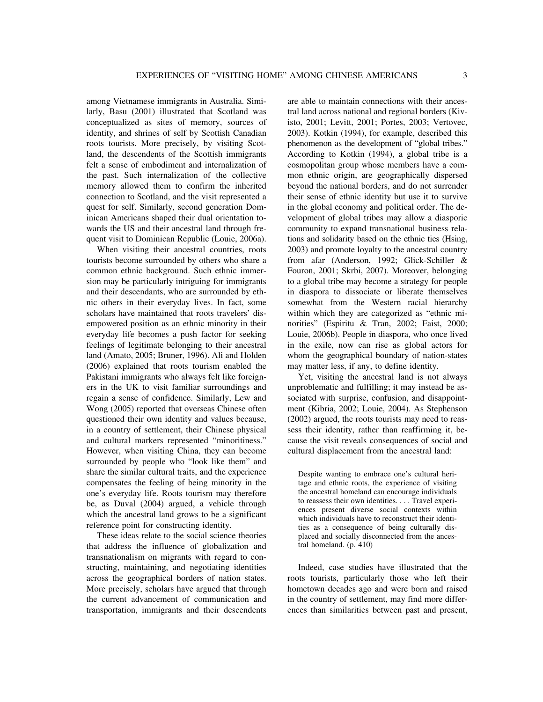among Vietnamese immigrants in Australia. Similarly, Basu (2001) illustrated that Scotland was conceptualized as sites of memory, sources of identity, and shrines of self by Scottish Canadian roots tourists. More precisely, by visiting Scotland, the descendents of the Scottish immigrants felt a sense of embodiment and internalization of the past. Such internalization of the collective memory allowed them to confirm the inherited connection to Scotland, and the visit represented a quest for self. Similarly, second generation Dominican Americans shaped their dual orientation towards the US and their ancestral land through frequent visit to Dominican Republic (Louie, 2006a).

When visiting their ancestral countries, roots tourists become surrounded by others who share a common ethnic background. Such ethnic immersion may be particularly intriguing for immigrants and their descendants, who are surrounded by ethnic others in their everyday lives. In fact, some scholars have maintained that roots travelers' disempowered position as an ethnic minority in their everyday life becomes a push factor for seeking feelings of legitimate belonging to their ancestral land (Amato, 2005; Bruner, 1996). Ali and Holden (2006) explained that roots tourism enabled the Pakistani immigrants who always felt like foreigners in the UK to visit familiar surroundings and regain a sense of confidence. Similarly, Lew and Wong (2005) reported that overseas Chinese often questioned their own identity and values because, in a country of settlement, their Chinese physical and cultural markers represented "minoritiness." However, when visiting China, they can become surrounded by people who "look like them" and share the similar cultural traits, and the experience compensates the feeling of being minority in the one's everyday life. Roots tourism may therefore be, as Duval (2004) argued, a vehicle through which the ancestral land grows to be a significant reference point for constructing identity.

These ideas relate to the social science theories that address the influence of globalization and transnationalism on migrants with regard to constructing, maintaining, and negotiating identities across the geographical borders of nation states. More precisely, scholars have argued that through the current advancement of communication and transportation, immigrants and their descendents

are able to maintain connections with their ancestral land across national and regional borders (Kivisto, 2001; Levitt, 2001; Portes, 2003; Vertovec, 2003). Kotkin (1994), for example, described this phenomenon as the development of "global tribes." According to Kotkin (1994), a global tribe is a cosmopolitan group whose members have a common ethnic origin, are geographically dispersed beyond the national borders, and do not surrender their sense of ethnic identity but use it to survive in the global economy and political order. The development of global tribes may allow a diasporic community to expand transnational business relations and solidarity based on the ethnic ties (Hsing, 2003) and promote loyalty to the ancestral country from afar (Anderson, 1992; Glick-Schiller & Fouron, 2001; Skrbi, 2007). Moreover, belonging to a global tribe may become a strategy for people in diaspora to dissociate or liberate themselves somewhat from the Western racial hierarchy within which they are categorized as "ethnic minorities" (Espiritu & Tran, 2002; Faist, 2000; Louie, 2006b). People in diaspora, who once lived in the exile, now can rise as global actors for whom the geographical boundary of nation-states may matter less, if any, to define identity.

Yet, visiting the ancestral land is not always unproblematic and fulfilling; it may instead be associated with surprise, confusion, and disappointment (Kibria, 2002; Louie, 2004). As Stephenson (2002) argued, the roots tourists may need to reassess their identity, rather than reaffirming it, because the visit reveals consequences of social and cultural displacement from the ancestral land:

Despite wanting to embrace one's cultural heritage and ethnic roots, the experience of visiting the ancestral homeland can encourage individuals to reassess their own identities. . . . Travel experiences present diverse social contexts within which individuals have to reconstruct their identities as a consequence of being culturally displaced and socially disconnected from the ancestral homeland.  $(p. 410)$ 

Indeed, case studies have illustrated that the roots tourists, particularly those who left their hometown decades ago and were born and raised in the country of settlement, may find more differences than similarities between past and present,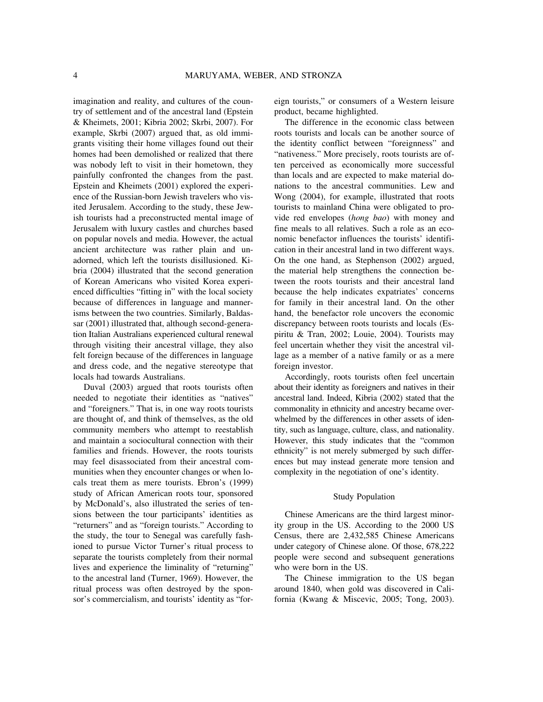imagination and reality, and cultures of the country of settlement and of the ancestral land (Epstein & Kheimets, 2001; Kibria 2002; Skrbi, 2007). For example, Skrbi (2007) argued that, as old immigrants visiting their home villages found out their homes had been demolished or realized that there was nobody left to visit in their hometown, they painfully confronted the changes from the past. Epstein and Kheimets (2001) explored the experience of the Russian-born Jewish travelers who visited Jerusalem. According to the study, these Jewish tourists had a preconstructed mental image of Jerusalem with luxury castles and churches based on popular novels and media. However, the actual ancient architecture was rather plain and unadorned, which left the tourists disillusioned. Kibria (2004) illustrated that the second generation of Korean Americans who visited Korea experienced difficulties "fitting in" with the local society because of differences in language and mannerisms between the two countries. Similarly, Baldassar (2001) illustrated that, although second-generation Italian Australians experienced cultural renewal through visiting their ancestral village, they also felt foreign because of the differences in language and dress code, and the negative stereotype that locals had towards Australians.

Duval (2003) argued that roots tourists often needed to negotiate their identities as "natives" and "foreigners." That is, in one way roots tourists are thought of, and think of themselves, as the old community members who attempt to reestablish and maintain a sociocultural connection with their families and friends. However, the roots tourists may feel disassociated from their ancestral communities when they encounter changes or when locals treat them as mere tourists. Ebron's (1999) study of African American roots tour, sponsored by McDonald's, also illustrated the series of tensions between the tour participants' identities as "returners" and as "foreign tourists." According to the study, the tour to Senegal was carefully fashioned to pursue Victor Turner's ritual process to separate the tourists completely from their normal lives and experience the liminality of "returning" to the ancestral land (Turner, 1969). However, the ritual process was often destroyed by the sponsor's commercialism, and tourists' identity as "foreign tourists," or consumers of a Western leisure product, became highlighted.

The difference in the economic class between roots tourists and locals can be another source of the identity conflict between "foreignness" and "nativeness." More precisely, roots tourists are often perceived as economically more successful than locals and are expected to make material donations to the ancestral communities. Lew and Wong (2004), for example, illustrated that roots tourists to mainland China were obligated to provide red envelopes (hong bao) with money and fine meals to all relatives. Such a role as an economic benefactor influences the tourists' identification in their ancestral land in two different ways. On the one hand, as Stephenson (2002) argued, the material help strengthens the connection between the roots tourists and their ancestral land because the help indicates expatriates' concerns for family in their ancestral land. On the other hand, the benefactor role uncovers the economic discrepancy between roots tourists and locals (Espiritu & Tran, 2002; Louie, 2004). Tourists may feel uncertain whether they visit the ancestral village as a member of a native family or as a mere foreign investor.

Accordingly, roots tourists often feel uncertain about their identity as foreigners and natives in their ancestral land. Indeed, Kibria (2002) stated that the commonality in ethnicity and ancestry became overwhelmed by the differences in other assets of identity, such as language, culture, class, and nationality. However, this study indicates that the "common ethnicity" is not merely submerged by such differences but may instead generate more tension and complexity in the negotiation of one's identity.

# **Study Population**

Chinese Americans are the third largest minority group in the US. According to the 2000 US Census, there are 2,432,585 Chinese Americans under category of Chinese alone. Of those, 678,222 people were second and subsequent generations who were born in the US.

The Chinese immigration to the US began around 1840, when gold was discovered in California (Kwang & Miscevic, 2005; Tong, 2003).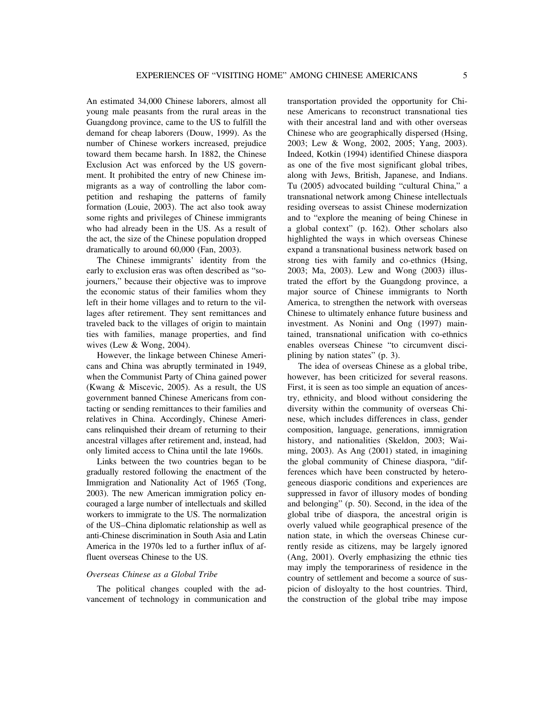An estimated 34,000 Chinese laborers, almost all young male peasants from the rural areas in the Guangdong province, came to the US to fulfill the demand for cheap laborers (Douw, 1999). As the number of Chinese workers increased, prejudice toward them became harsh. In 1882, the Chinese Exclusion Act was enforced by the US government. It prohibited the entry of new Chinese immigrants as a way of controlling the labor competition and reshaping the patterns of family formation (Louie, 2003). The act also took away some rights and privileges of Chinese immigrants who had already been in the US. As a result of the act, the size of the Chinese population dropped dramatically to around  $60,000$  (Fan, 2003).

The Chinese immigrants' identity from the early to exclusion eras was often described as "sojourners," because their objective was to improve the economic status of their families whom they left in their home villages and to return to the villages after retirement. They sent remittances and traveled back to the villages of origin to maintain ties with families, manage properties, and find wives (Lew & Wong,  $2004$ ).

However, the linkage between Chinese Americans and China was abruptly terminated in 1949, when the Communist Party of China gained power (Kwang & Miscevic, 2005). As a result, the US government banned Chinese Americans from contacting or sending remittances to their families and relatives in China. Accordingly, Chinese Americans relinquished their dream of returning to their ancestral villages after retirement and, instead, had only limited access to China until the late 1960s.

Links between the two countries began to be gradually restored following the enactment of the Immigration and Nationality Act of 1965 (Tong, 2003). The new American immigration policy encouraged a large number of intellectuals and skilled workers to immigrate to the US. The normalization of the US-China diplomatic relationship as well as anti-Chinese discrimination in South Asia and Latin America in the 1970s led to a further influx of affluent overseas Chinese to the US.

# Overseas Chinese as a Global Tribe

The political changes coupled with the advancement of technology in communication and transportation provided the opportunity for Chinese Americans to reconstruct transnational ties with their ancestral land and with other overseas Chinese who are geographically dispersed (Hsing, 2003; Lew & Wong, 2002, 2005; Yang, 2003). Indeed, Kotkin (1994) identified Chinese diaspora as one of the five most significant global tribes, along with Jews, British, Japanese, and Indians. Tu (2005) advocated building "cultural China," a transnational network among Chinese intellectuals residing overseas to assist Chinese modernization and to "explore the meaning of being Chinese in a global context" (p. 162). Other scholars also highlighted the ways in which overseas Chinese expand a transnational business network based on strong ties with family and co-ethnics (Hsing, 2003; Ma, 2003). Lew and Wong (2003) illustrated the effort by the Guangdong province, a major source of Chinese immigrants to North America, to strengthen the network with overseas Chinese to ultimately enhance future business and investment. As Nonini and Ong (1997) maintained, transnational unification with co-ethnics enables overseas Chinese "to circumvent disciplining by nation states" (p. 3).

The idea of overseas Chinese as a global tribe, however, has been criticized for several reasons. First, it is seen as too simple an equation of ancestry, ethnicity, and blood without considering the diversity within the community of overseas Chinese, which includes differences in class, gender composition, language, generations, immigration history, and nationalities (Skeldon, 2003; Waiming, 2003). As Ang (2001) stated, in imagining the global community of Chinese diaspora, "differences which have been constructed by heterogeneous diasporic conditions and experiences are suppressed in favor of illusory modes of bonding and belonging" (p. 50). Second, in the idea of the global tribe of diaspora, the ancestral origin is overly valued while geographical presence of the nation state, in which the overseas Chinese currently reside as citizens, may be largely ignored  $(Ang, 2001)$ . Overly emphasizing the ethnic ties may imply the temporariness of residence in the country of settlement and become a source of suspicion of disloyalty to the host countries. Third, the construction of the global tribe may impose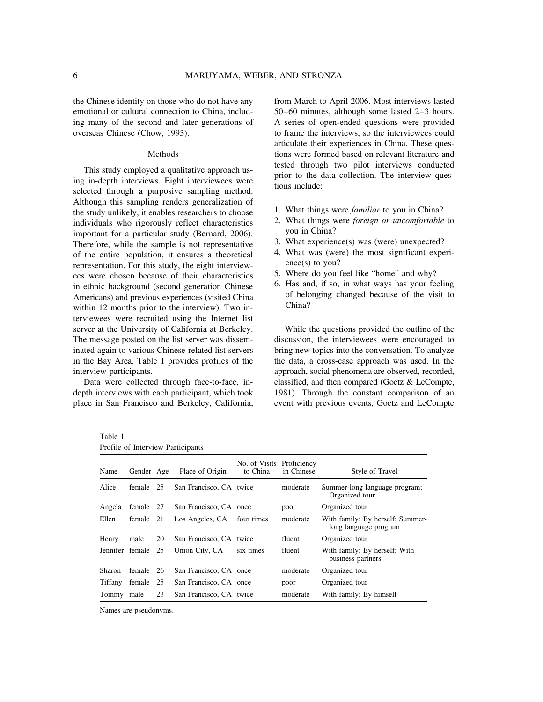the Chinese identity on those who do not have any emotional or cultural connection to China, including many of the second and later generations of overseas Chinese (Chow, 1993).

#### Methods

This study employed a qualitative approach using in-depth interviews. Eight interviewees were selected through a purposive sampling method. Although this sampling renders generalization of the study unlikely, it enables researchers to choose individuals who rigorously reflect characteristics important for a particular study (Bernard, 2006). Therefore, while the sample is not representative of the entire population, it ensures a theoretical representation. For this study, the eight interviewees were chosen because of their characteristics in ethnic background (second generation Chinese Americans) and previous experiences (visited China within 12 months prior to the interview). Two interviewees were recruited using the Internet list server at the University of California at Berkeley. The message posted on the list server was disseminated again to various Chinese-related list servers in the Bay Area. Table 1 provides profiles of the interview participants.

Data were collected through face-to-face, indepth interviews with each participant, which took place in San Francisco and Berkeley, California, from March to April 2006. Most interviews lasted 50–60 minutes, although some lasted  $2-3$  hours. A series of open-ended questions were provided to frame the interviews, so the interviewees could articulate their experiences in China. These questions were formed based on relevant literature and tested through two pilot interviews conducted prior to the data collection. The interview questions include:

- 1. What things were *familiar* to you in China?
- 2. What things were *foreign or uncomfortable* to vou in China?
- 3. What experience(s) was (were) unexpected?
- 4. What was (were) the most significant experi $ence(s) to you?$
- 5. Where do you feel like "home" and why?
- 6. Has and, if so, in what ways has your feeling of belonging changed because of the visit to China?

While the questions provided the outline of the discussion, the interviewees were encouraged to bring new topics into the conversation. To analyze the data, a cross-case approach was used. In the approach, social phenomena are observed, recorded, classified, and then compared (Goetz & LeCompte, 1981). Through the constant comparison of an event with previous events, Goetz and LeCompte

Table 1 Profile of Interview Participants

| Name            | Gender Age |    | Place of Origin         | No. of Visits Proficiency<br>to China | in Chinese | Style of Travel                                           |
|-----------------|------------|----|-------------------------|---------------------------------------|------------|-----------------------------------------------------------|
| Alice           | female     | 25 | San Francisco, CA twice |                                       | moderate   | Summer-long language program;<br>Organized tour           |
| Angela          | female 27  |    | San Francisco, CA once  |                                       | poor       | Organized tour                                            |
| Ellen           | female 21  |    | Los Angeles, CA         | four times                            | moderate   | With family; By herself; Summer-<br>long language program |
| Henry           | male       | 20 | San Francisco, CA twice |                                       | fluent     | Organized tour                                            |
| Jennifer female |            | 25 | Union City, CA          | six times                             | fluent     | With family; By herself; With<br>business partners        |
| Sharon          | female     | 26 | San Francisco, CA once  |                                       | moderate   | Organized tour                                            |
| Tiffany         | female     | 25 | San Francisco, CA once  |                                       | poor       | Organized tour                                            |
| Tommy male      |            | 23 | San Francisco, CA twice |                                       | moderate   | With family; By himself                                   |

Names are pseudonyms.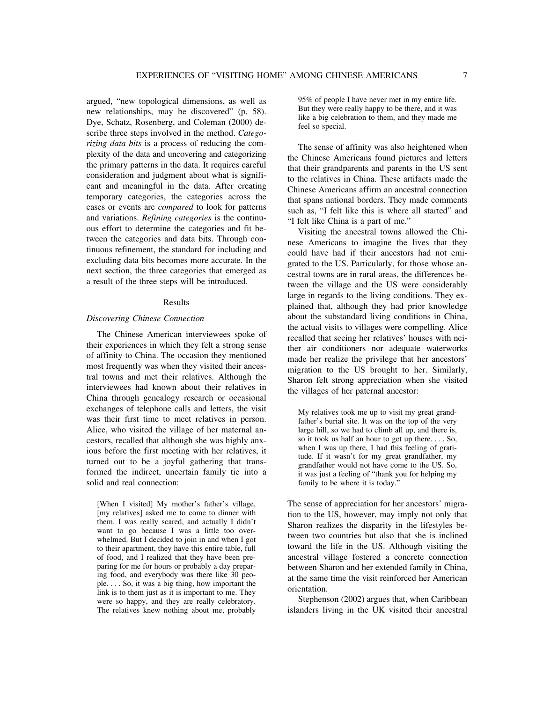argued, "new topological dimensions, as well as new relationships, may be discovered" (p. 58). Dye, Schatz, Rosenberg, and Coleman (2000) describe three steps involved in the method. Catego*rizing data bits* is a process of reducing the complexity of the data and uncovering and categorizing the primary patterns in the data. It requires careful consideration and judgment about what is significant and meaningful in the data. After creating temporary categories, the categories across the cases or events are *compared* to look for patterns and variations. Refining categories is the continuous effort to determine the categories and fit between the categories and data bits. Through continuous refinement, the standard for including and excluding data bits becomes more accurate. In the next section, the three categories that emerged as a result of the three steps will be introduced.

#### Results

# Discovering Chinese Connection

The Chinese American interviewees spoke of their experiences in which they felt a strong sense of affinity to China. The occasion they mentioned most frequently was when they visited their ancestral towns and met their relatives. Although the interviewees had known about their relatives in China through genealogy research or occasional exchanges of telephone calls and letters, the visit was their first time to meet relatives in person. Alice, who visited the village of her maternal ancestors, recalled that although she was highly anxious before the first meeting with her relatives, it turned out to be a joyful gathering that transformed the indirect, uncertain family tie into a solid and real connection:

[When I visited] My mother's father's village, [my relatives] asked me to come to dinner with them. I was really scared, and actually I didn't want to go because I was a little too overwhelmed. But I decided to join in and when I got to their apartment, they have this entire table, full of food, and I realized that they have been preparing for me for hours or probably a day preparing food, and everybody was there like 30 peo $ple. \ldots$  So, it was a big thing, how important the link is to them just as it is important to me. They were so happy, and they are really celebratory. The relatives knew nothing about me, probably

95% of people I have never met in my entire life. But they were really happy to be there, and it was like a big celebration to them, and they made me feel so special.

The sense of affinity was also heightened when the Chinese Americans found pictures and letters that their grandparents and parents in the US sent to the relatives in China. These artifacts made the Chinese Americans affirm an ancestral connection that spans national borders. They made comments such as, "I felt like this is where all started" and "I felt like China is a part of me."

Visiting the ancestral towns allowed the Chinese Americans to imagine the lives that they could have had if their ancestors had not emigrated to the US. Particularly, for those whose ancestral towns are in rural areas, the differences between the village and the US were considerably large in regards to the living conditions. They explained that, although they had prior knowledge about the substandard living conditions in China, the actual visits to villages were compelling. Alice recalled that seeing her relatives' houses with neither air conditioners nor adequate waterworks made her realize the privilege that her ancestors' migration to the US brought to her. Similarly, Sharon felt strong appreciation when she visited the villages of her paternal ancestor:

My relatives took me up to visit my great grandfather's burial site. It was on the top of the very large hill, so we had to climb all up, and there is, so it took us half an hour to get up there.... So, when I was up there, I had this feeling of gratitude. If it wasn't for my great grandfather, my grandfather would not have come to the US. So, it was just a feeling of "thank you for helping my family to be where it is today."

The sense of appreciation for her ancestors' migration to the US, however, may imply not only that Sharon realizes the disparity in the lifestyles between two countries but also that she is inclined toward the life in the US. Although visiting the ancestral village fostered a concrete connection between Sharon and her extended family in China. at the same time the visit reinforced her American orientation.

Stephenson (2002) argues that, when Caribbean islanders living in the UK visited their ancestral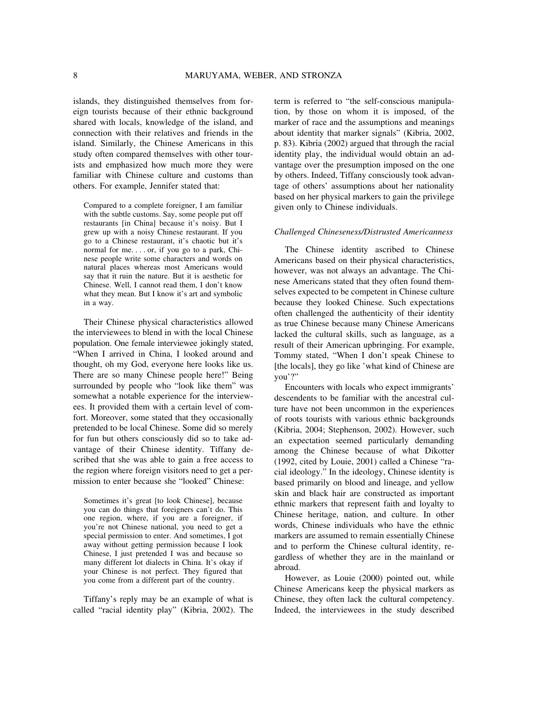islands, they distinguished themselves from foreign tourists because of their ethnic background shared with locals, knowledge of the island, and connection with their relatives and friends in the island. Similarly, the Chinese Americans in this study often compared themselves with other tourists and emphasized how much more they were familiar with Chinese culture and customs than others. For example, Jennifer stated that:

Compared to a complete foreigner, I am familiar with the subtle customs. Say, some people put off restaurants [in China] because it's noisy. But I grew up with a noisy Chinese restaurant. If you go to a Chinese restaurant, it's chaotic but it's normal for me.... or, if you go to a park, Chinese people write some characters and words on natural places whereas most Americans would say that it ruin the nature. But it is aesthetic for Chinese. Well, I cannot read them, I don't know what they mean. But I know it's art and symbolic in a way.

Their Chinese physical characteristics allowed the interviewees to blend in with the local Chinese population. One female interviewee jokingly stated, "When I arrived in China, I looked around and thought, oh my God, everyone here looks like us. There are so many Chinese people here!" Being surrounded by people who "look like them" was somewhat a notable experience for the interviewees. It provided them with a certain level of comfort. Moreover, some stated that they occasionally pretended to be local Chinese. Some did so merely for fun but others consciously did so to take advantage of their Chinese identity. Tiffany described that she was able to gain a free access to the region where foreign visitors need to get a permission to enter because she "looked" Chinese:

Sometimes it's great [to look Chinese], because you can do things that foreigners can't do. This one region, where, if you are a foreigner, if you're not Chinese national, you need to get a special permission to enter. And sometimes, I got away without getting permission because I look Chinese, I just pretended I was and because so many different lot dialects in China. It's okay if your Chinese is not perfect. They figured that you come from a different part of the country.

Tiffany's reply may be an example of what is called "racial identity play" (Kibria, 2002). The term is referred to "the self-conscious manipulation, by those on whom it is imposed, of the marker of race and the assumptions and meanings about identity that marker signals" (Kibria, 2002, p. 83). Kibria (2002) argued that through the racial identity play, the individual would obtain an advantage over the presumption imposed on the one by others. Indeed, Tiffany consciously took advantage of others' assumptions about her nationality based on her physical markers to gain the privilege given only to Chinese individuals.

#### Challenged Chineseness/Distrusted Americanness

The Chinese identity ascribed to Chinese Americans based on their physical characteristics, however, was not always an advantage. The Chinese Americans stated that they often found themselves expected to be competent in Chinese culture because they looked Chinese. Such expectations often challenged the authenticity of their identity as true Chinese because many Chinese Americans lacked the cultural skills, such as language, as a result of their American upbringing. For example, Tommy stated, "When I don't speak Chinese to [the locals], they go like 'what kind of Chinese are you'?"

Encounters with locals who expect immigrants' descendents to be familiar with the ancestral culture have not been uncommon in the experiences of roots tourists with various ethnic backgrounds (Kibria, 2004; Stephenson, 2002). However, such an expectation seemed particularly demanding among the Chinese because of what Dikotter (1992, cited by Louie, 2001) called a Chinese "racial ideology." In the ideology, Chinese identity is based primarily on blood and lineage, and yellow skin and black hair are constructed as important ethnic markers that represent faith and loyalty to Chinese heritage, nation, and culture. In other words, Chinese individuals who have the ethnic markers are assumed to remain essentially Chinese and to perform the Chinese cultural identity, regardless of whether they are in the mainland or abroad.

However, as Louie (2000) pointed out, while Chinese Americans keep the physical markers as Chinese, they often lack the cultural competency. Indeed, the interviewees in the study described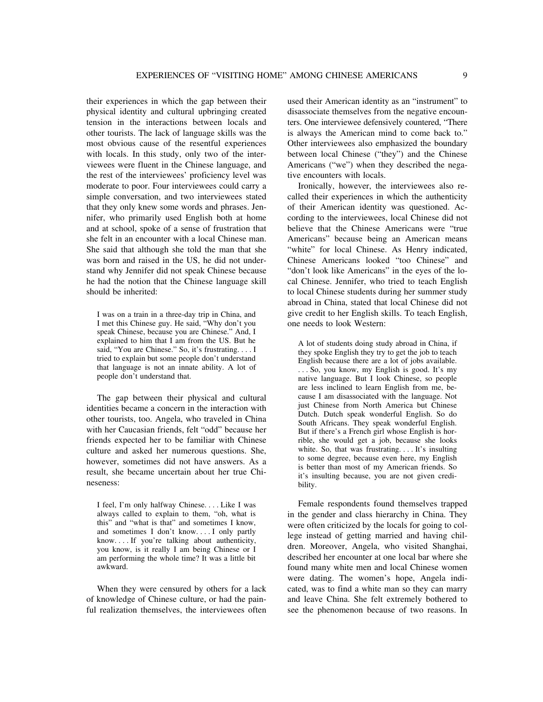their experiences in which the gap between their physical identity and cultural upbringing created tension in the interactions between locals and other tourists. The lack of language skills was the most obvious cause of the resentful experiences with locals. In this study, only two of the interviewees were fluent in the Chinese language, and the rest of the interviewees' proficiency level was moderate to poor. Four interviewees could carry a simple conversation, and two interviewees stated that they only knew some words and phrases. Jennifer, who primarily used English both at home and at school, spoke of a sense of frustration that she felt in an encounter with a local Chinese man. She said that although she told the man that she was born and raised in the US, he did not understand why Jennifer did not speak Chinese because he had the notion that the Chinese language skill should be inherited.

I was on a train in a three-day trip in China, and I met this Chinese guy. He said, "Why don't you speak Chinese, because you are Chinese." And, I explained to him that I am from the US. But he said, "You are Chinese." So, it's frustrating.... I tried to explain but some people don't understand that language is not an innate ability. A lot of people don't understand that.

The gap between their physical and cultural identities became a concern in the interaction with other tourists, too. Angela, who traveled in China with her Caucasian friends, felt "odd" because her friends expected her to be familiar with Chinese culture and asked her numerous questions. She, however, sometimes did not have answers. As a result, she became uncertain about her true Chineseness:

I feel, I'm only halfway Chinese.... Like I was always called to explain to them, "oh, what is this" and "what is that" and sometimes I know, and sometimes I don't know....I only partly know.... If you're talking about authenticity, you know, is it really I am being Chinese or I am performing the whole time? It was a little bit awkward.

When they were censured by others for a lack of knowledge of Chinese culture, or had the painful realization themselves, the interviewees often used their American identity as an "instrument" to disassociate themselves from the negative encounters. One interviewee defensively countered, "There is always the American mind to come back to." Other interviewees also emphasized the boundary between local Chinese ("they") and the Chinese Americans ("we") when they described the negative encounters with locals.

Ironically, however, the interviewees also recalled their experiences in which the authenticity of their American identity was questioned. According to the interviewees, local Chinese did not believe that the Chinese Americans were "true Americans" because being an American means "white" for local Chinese. As Henry indicated, Chinese Americans looked "too Chinese" and "don't look like Americans" in the eyes of the local Chinese. Jennifer, who tried to teach English to local Chinese students during her summer study abroad in China, stated that local Chinese did not give credit to her English skills. To teach English, one needs to look Western:

A lot of students doing study abroad in China, if they spoke English they try to get the job to teach English because there are a lot of jobs available. ... So, you know, my English is good. It's my native language. But I look Chinese, so people are less inclined to learn English from me, because I am disassociated with the language. Not just Chinese from North America but Chinese Dutch. Dutch speak wonderful English. So do South Africans. They speak wonderful English. But if there's a French girl whose English is horrible, she would get a job, because she looks white. So, that was frustrating.... It's insulting to some degree, because even here, my English is better than most of my American friends. So it's insulting because, you are not given credibility.

Female respondents found themselves trapped in the gender and class hierarchy in China. They were often criticized by the locals for going to college instead of getting married and having children. Moreover, Angela, who visited Shanghai, described her encounter at one local bar where she found many white men and local Chinese women were dating. The women's hope, Angela indicated, was to find a white man so they can marry and leave China. She felt extremely bothered to see the phenomenon because of two reasons. In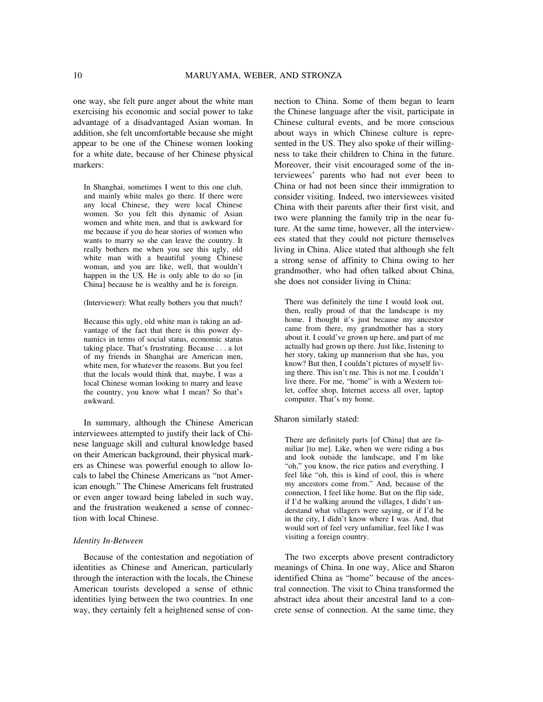one way, she felt pure anger about the white man exercising his economic and social power to take advantage of a disadvantaged Asian woman. In addition, she felt uncomfortable because she might appear to be one of the Chinese women looking for a white date, because of her Chinese physical markers<sup>.</sup>

In Shanghai, sometimes I went to this one club, and mainly white males go there. If there were any local Chinese, they were local Chinese women. So you felt this dynamic of Asian women and white men, and that is awkward for me because if you do hear stories of women who wants to marry so she can leave the country. It really bothers me when you see this ugly, old white man with a beautiful young Chinese woman, and you are like, well, that wouldn't happen in the US. He is only able to do so [in China] because he is wealthy and he is foreign.

(Interviewer): What really bothers you that much?

Because this ugly, old white man is taking an advantage of the fact that there is this power dynamics in terms of social status, economic status taking place. That's frustrating. Because . . . a lot of my friends in Shanghai are American men, white men, for whatever the reasons. But you feel that the locals would think that, maybe, I was a local Chinese woman looking to marry and leave the country, you know what I mean? So that's awkward

In summary, although the Chinese American interviewees attempted to justify their lack of Chinese language skill and cultural knowledge based on their American background, their physical markers as Chinese was powerful enough to allow locals to label the Chinese Americans as "not American enough." The Chinese Americans felt frustrated or even anger toward being labeled in such way, and the frustration weakened a sense of connection with local Chinese.

#### **Identity In-Between**

Because of the contestation and negotiation of identities as Chinese and American, particularly through the interaction with the locals, the Chinese American tourists developed a sense of ethnic identities lying between the two countries. In one way, they certainly felt a heightened sense of connection to China. Some of them began to learn the Chinese language after the visit, participate in Chinese cultural events, and be more conscious about ways in which Chinese culture is represented in the US. They also spoke of their willingness to take their children to China in the future. Moreover, their visit encouraged some of the interviewees' parents who had not ever been to China or had not been since their immigration to consider visiting. Indeed, two interviewees visited China with their parents after their first visit, and two were planning the family trip in the near future. At the same time, however, all the interviewees stated that they could not picture themselves living in China. Alice stated that although she felt a strong sense of affinity to China owing to her grandmother, who had often talked about China, she does not consider living in China:

There was definitely the time I would look out, then, really proud of that the landscape is my home. I thought it's just because my ancestor came from there, my grandmother has a story about it. I could've grown up here, and part of me actually had grown up there. Just like, listening to her story, taking up mannerism that she has, you know? But then, I couldn't pictures of myself living there. This isn't me. This is not me. I couldn't live there. For me, "home" is with a Western toilet, coffee shop, Internet access all over, laptop computer. That's my home.

Sharon similarly stated:

There are definitely parts [of China] that are familiar [to me]. Like, when we were riding a bus and look outside the landscape, and I'm like "oh," you know, the rice patios and everything. I feel like "oh, this is kind of cool, this is where my ancestors come from." And, because of the connection, I feel like home. But on the flip side, if I'd be walking around the villages, I didn't understand what villagers were saying, or if I'd be in the city, I didn't know where I was. And, that would sort of feel very unfamiliar, feel like I was visiting a foreign country.

The two excerpts above present contradictory meanings of China. In one way, Alice and Sharon identified China as "home" because of the ancestral connection. The visit to China transformed the abstract idea about their ancestral land to a concrete sense of connection. At the same time, they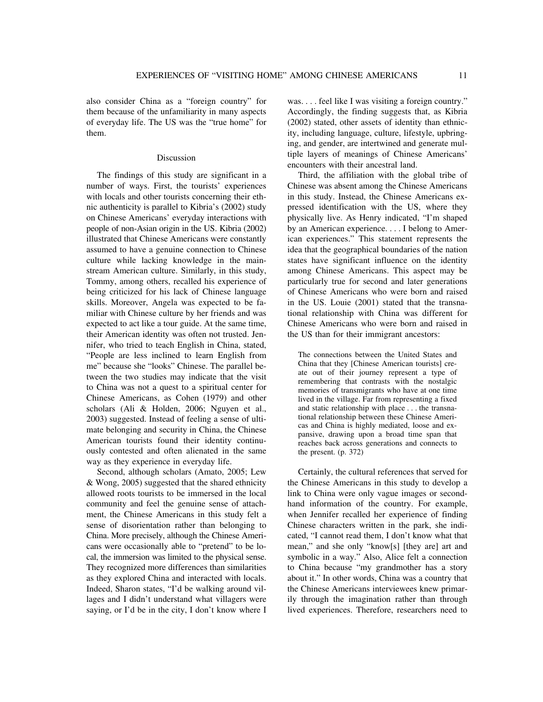also consider China as a "foreign country" for them because of the unfamiliarity in many aspects of everyday life. The US was the "true home" for them

# Discussion

The findings of this study are significant in a number of ways. First, the tourists' experiences with locals and other tourists concerning their ethnic authenticity is parallel to Kibria's (2002) study on Chinese Americans' everyday interactions with people of non-Asian origin in the US. Kibria (2002) illustrated that Chinese Americans were constantly assumed to have a genuine connection to Chinese culture while lacking knowledge in the mainstream American culture. Similarly, in this study, Tommy, among others, recalled his experience of being criticized for his lack of Chinese language skills. Moreover, Angela was expected to be familiar with Chinese culture by her friends and was expected to act like a tour guide. At the same time, their American identity was often not trusted. Jennifer, who tried to teach English in China, stated, "People are less inclined to learn English from me" because she "looks" Chinese. The parallel between the two studies may indicate that the visit to China was not a quest to a spiritual center for Chinese Americans, as Cohen (1979) and other scholars (Ali & Holden, 2006; Nguyen et al., 2003) suggested. Instead of feeling a sense of ultimate belonging and security in China, the Chinese American tourists found their identity continuously contested and often alienated in the same way as they experience in everyday life.

Second, although scholars (Amato, 2005; Lew & Wong, 2005) suggested that the shared ethnicity allowed roots tourists to be immersed in the local community and feel the genuine sense of attachment, the Chinese Americans in this study felt a sense of disorientation rather than belonging to China. More precisely, although the Chinese Americans were occasionally able to "pretend" to be local, the immersion was limited to the physical sense. They recognized more differences than similarities as they explored China and interacted with locals. Indeed, Sharon states, "I'd be walking around villages and I didn't understand what villagers were saying, or I'd be in the city, I don't know where I

was... feel like I was visiting a foreign country." Accordingly, the finding suggests that, as Kibria  $(2002)$  stated, other assets of identity than ethnicity, including language, culture, lifestyle, upbringing, and gender, are intertwined and generate multiple layers of meanings of Chinese Americans' encounters with their ancestral land.

Third, the affiliation with the global tribe of Chinese was absent among the Chinese Americans in this study. Instead, the Chinese Americans expressed identification with the US, where they physically live. As Henry indicated, "I'm shaped by an American experience.... I belong to American experiences." This statement represents the idea that the geographical boundaries of the nation states have significant influence on the identity among Chinese Americans. This aspect may be particularly true for second and later generations of Chinese Americans who were born and raised in the US. Louie (2001) stated that the transnational relationship with China was different for Chinese Americans who were born and raised in the US than for their immigrant ancestors:

The connections between the United States and China that they [Chinese American tourists] create out of their journey represent a type of remembering that contrasts with the nostalgic memories of transmigrants who have at one time lived in the village. Far from representing a fixed and static relationship with place . . . the transnational relationship between these Chinese Americas and China is highly mediated, loose and expansive, drawing upon a broad time span that reaches back across generations and connects to the present.  $(p. 372)$ 

Certainly, the cultural references that served for the Chinese Americans in this study to develop a link to China were only vague images or secondhand information of the country. For example, when Jennifer recalled her experience of finding Chinese characters written in the park, she indicated, "I cannot read them, I don't know what that mean," and she only "know[s] [they are] art and symbolic in a way." Also, Alice felt a connection to China because "my grandmother has a story about it." In other words, China was a country that the Chinese Americans interviewees knew primarily through the imagination rather than through lived experiences. Therefore, researchers need to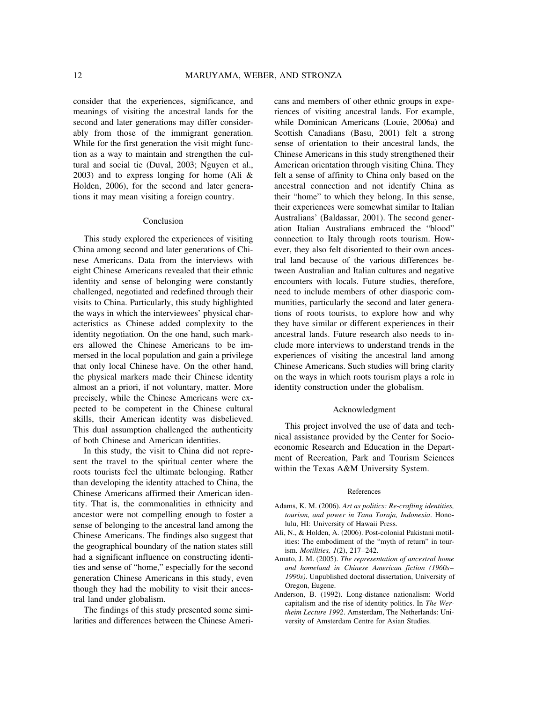consider that the experiences, significance, and meanings of visiting the ancestral lands for the second and later generations may differ considerably from those of the immigrant generation. While for the first generation the visit might function as a way to maintain and strengthen the cultural and social tie (Duval, 2003; Nguyen et al., 2003) and to express longing for home (Ali  $\&$ Holden, 2006), for the second and later generations it may mean visiting a foreign country.

## Conclusion

This study explored the experiences of visiting China among second and later generations of Chinese Americans. Data from the interviews with eight Chinese Americans revealed that their ethnic identity and sense of belonging were constantly challenged, negotiated and redefined through their visits to China. Particularly, this study highlighted the ways in which the interviewees' physical characteristics as Chinese added complexity to the identity negotiation. On the one hand, such markers allowed the Chinese Americans to be immersed in the local population and gain a privilege that only local Chinese have. On the other hand, the physical markers made their Chinese identity almost an a priori, if not voluntary, matter. More precisely, while the Chinese Americans were expected to be competent in the Chinese cultural skills, their American identity was disbelieved. This dual assumption challenged the authenticity of both Chinese and American identities.

In this study, the visit to China did not represent the travel to the spiritual center where the roots tourists feel the ultimate belonging. Rather than developing the identity attached to China, the Chinese Americans affirmed their American identity. That is, the commonalities in ethnicity and ancestor were not compelling enough to foster a sense of belonging to the ancestral land among the Chinese Americans. The findings also suggest that the geographical boundary of the nation states still had a significant influence on constructing identities and sense of "home," especially for the second generation Chinese Americans in this study, even though they had the mobility to visit their ancestral land under globalism.

The findings of this study presented some similarities and differences between the Chinese Americans and members of other ethnic groups in experiences of visiting ancestral lands. For example, while Dominican Americans (Louie, 2006a) and Scottish Canadians (Basu, 2001) felt a strong sense of orientation to their ancestral lands, the Chinese Americans in this study strengthened their American orientation through visiting China. They felt a sense of affinity to China only based on the ancestral connection and not identify China as their "home" to which they belong. In this sense, their experiences were somewhat similar to Italian Australians' (Baldassar, 2001). The second generation Italian Australians embraced the "blood" connection to Italy through roots tourism. However, they also felt disoriented to their own ancestral land because of the various differences between Australian and Italian cultures and negative encounters with locals. Future studies, therefore, need to include members of other diasporic communities, particularly the second and later generations of roots tourists, to explore how and why they have similar or different experiences in their ancestral lands. Future research also needs to include more interviews to understand trends in the experiences of visiting the ancestral land among Chinese Americans. Such studies will bring clarity on the ways in which roots tourism plays a role in identity construction under the globalism.

# Acknowledgment

This project involved the use of data and technical assistance provided by the Center for Socioeconomic Research and Education in the Department of Recreation. Park and Tourism Sciences within the Texas A&M University System.

#### References

- Adams, K. M. (2006). Art as politics: Re-crafting identities, tourism, and power in Tana Toraja, Indonesia. Honolulu, HI: University of Hawaii Press.
- Ali, N., & Holden, A. (2006). Post-colonial Pakistani motilities: The embodiment of the "myth of return" in tourism. Motilities, 1(2), 217-242.
- Amato, J. M. (2005). The representation of ancestral home and homeland in Chinese American fiction (1960s-1990s). Unpublished doctoral dissertation, University of Oregon, Eugene.
- Anderson, B. (1992). Long-distance nationalism: World capitalism and the rise of identity politics. In The Wertheim Lecture 1992. Amsterdam, The Netherlands: University of Amsterdam Centre for Asian Studies.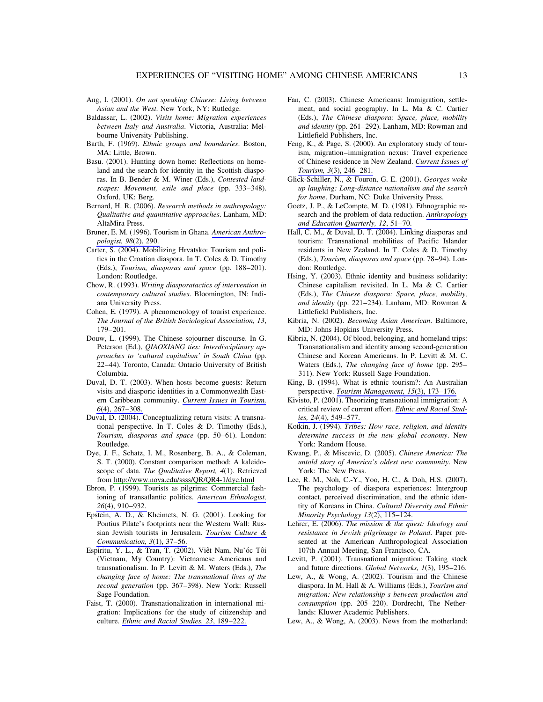- Ang, I. (2001). On not speaking Chinese: Living between Asian and the West. New York, NY: Rutledge.
- Baldassar, L. (2002). Visits home: Migration experiences between Italy and Australia. Victoria. Australia: Melbourne University Publishing.
- Barth, F. (1969). Ethnic groups and boundaries. Boston, MA: Little, Brown.
- Basu. (2001). Hunting down home: Reflections on homeland and the search for identity in the Scottish diasporas. In B. Bender & M. Winer (Eds.), Contested landscapes: Movement, exile and place (pp. 333–348). Oxford, UK: Berg.
- Bernard, H. R. (2006). Research methods in anthropology: *Oualitative and quantitative approaches.* Lanham, MD: AltaMira Press.
- Bruner, E. M. (1996). Tourism in Ghana. American Anthropologist, 98(2), 290.
- Carter, S. (2004). Mobilizing Hrvatsko: Tourism and politics in the Croatian diaspora. In T. Coles & D. Timothy (Eds.), Tourism, diasporas and space (pp. 188-201). London: Routledge.
- Chow, R. (1993). Writing diasporatactics of intervention in contemporary cultural studies. Bloomington, IN: Indiana University Press.
- Cohen, E. (1979). A phenomenology of tourist experience. The Journal of the British Sociological Association, 13,  $179 - 201$ .
- Douw, L. (1999). The Chinese sojourner discourse. In G. Peterson (Ed.), QIAOXIANG ties: Interdisciplinary approaches to 'cultural capitalism' in South China (pp. 22-44). Toronto, Canada: Ontario University of British Columbia.
- Duval, D. T. (2003). When hosts become guests: Return visits and diasporic identities in a Commonwealth Eastern Caribbean community. Current Issues in Tourism,  $6(4)$ , 267-308.
- Duval, D. (2004). Conceptualizing return visits: A transnational perspective. In T. Coles & D. Timothy (Eds.), Tourism, diasporas and space (pp. 50-61). London: Routledge.
- Dye, J. F., Schatz, I. M., Rosenberg, B. A., & Coleman, S. T. (2000). Constant comparison method: A kaleidoscope of data. The Qualitative Report, 4(1). Retrieved from http://www.nova.edu/ssss/QR/QR4-1/dye.html
- Ebron, P. (1999). Tourists as pilgrims: Commercial fashioning of transatlantic politics. American Ethnologist, 26(4), 910-932.
- Epstein, A. D., & Kheimets, N. G. (2001). Looking for Pontius Pilate's footprints near the Western Wall: Russian Jewish tourists in Jerusalem. Tourism Culture & Communication, 3(1), 37-56.
- Espiritu, Y. L., & Tran, T. (2002). Viêt Nam, Nu'óc Tôi (Vietnam, My Country): Vietnamese Americans and transnationalism. In P. Levitt & M. Waters (Eds.), The changing face of home: The transnational lives of the second generation (pp. 367-398). New York: Russell Sage Foundation.
- Faist, T. (2000). Transnationalization in international migration: Implications for the study of citizenship and culture. Ethnic and Racial Studies, 23, 189-222.
- Fan, C. (2003). Chinese Americans: Immigration, settlement, and social geography. In L. Ma & C. Cartier (Eds.), The Chinese diaspora: Space, place, mobility and identity (pp.  $261-292$ ). Lanham, MD: Rowman and Littlefield Publishers, Inc.
- Feng, K., & Page, S. (2000). An exploratory study of tourism, migration-immigration nexus: Travel experience of Chinese residence in New Zealand. Current Issues of Tourism, 3(3), 246-281.
- Glick-Schiller, N., & Fouron, G. E. (2001). Georges woke up laughing: Long-distance nationalism and the search for home. Durham, NC: Duke University Press.
- Goetz, J. P., & LeCompte, M. D. (1981). Ethnographic research and the problem of data reduction. Anthropology and Education Quarterly, 12, 51-70.
- Hall, C. M., & Duval, D. T. (2004). Linking diasporas and tourism: Transnational mobilities of Pacific Islander residents in New Zealand. In T. Coles & D. Timothy (Eds.), Tourism, diasporas and space (pp. 78–94). London: Routledge.
- Hsing, Y. (2003). Ethnic identity and business solidarity: Chinese capitalism revisited. In L. Ma & C. Cartier (Eds.), The Chinese diaspora: Space, place, mobility, and identity (pp. 221-234). Lanham, MD: Rowman & Littlefield Publishers, Inc.
- Kibria, N. (2002). Becoming Asian American. Baltimore, MD: Johns Hopkins University Press.
- Kibria, N. (2004). Of blood, belonging, and homeland trips: Transnationalism and identity among second-generation Chinese and Korean Americans. In P. Levitt & M. C. Waters (Eds.), The changing face of home (pp. 295– 311). New York: Russell Sage Foundation.
- King, B. (1994). What is ethnic tourism?: An Australian perspective. Tourism Management, 15(3), 173-176.
- Kivisto, P. (2001). Theorizing transnational immigration: A critical review of current effort. Ethnic and Racial Studies, 24(4), 549-577.
- Kotkin, J. (1994). Tribes: How race, religion, and identity determine success in the new global economy. New York: Random House.
- Kwang, P., & Miscevic, D. (2005). Chinese America: The untold story of America's oldest new community. New York: The New Press.
- Lee, R. M., Noh, C.-Y., Yoo, H. C., & Doh, H.S. (2007). The psychology of diaspora experiences: Intergroup contact, perceived discrimination, and the ethnic identity of Koreans in China. Cultural Diversity and Ethnic Minority Psychology 13(2), 115-124.
- Lehrer, E. (2006). The mission & the quest: Ideology and resistance in Jewish pilgrimage to Poland. Paper presented at the American Anthropological Association 107th Annual Meeting, San Francisco, CA.
- Levitt, P. (2001). Transnational migration: Taking stock and future directions. Global Networks, 1(3), 195-216.
- Lew, A., & Wong, A. (2002). Tourism and the Chinese diaspora. In M. Hall & A. Williams (Eds.), Tourism and migration: New relationship s between production and consumption (pp. 205-220). Dordrecht, The Netherlands: Kluwer Academic Publishers.
- Lew, A., & Wong, A. (2003). News from the motherland: